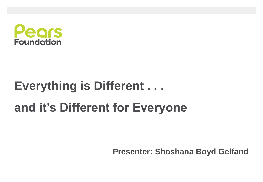

## **Everything is Different . . . and it's Different for Everyone**

**Presenter: Shoshana Boyd Gelfand**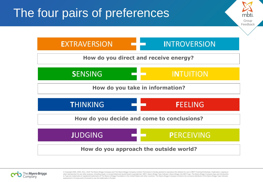

Group **Feedback** 

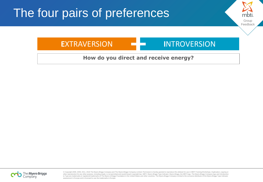

Group Feedback

#### **How do you direct and receive energy?**

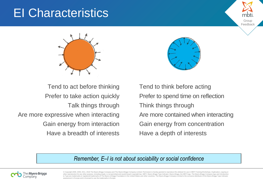### EI Characteristics





Group Feedbac

Tend to act before thinking Prefer to take action quickly Talk things through Are more expressive when interacting Gain energy from interaction Have a breadth of interests

Tend to think before acting Prefer to spend time on reflection Think things through Are more contained when interacting Gain energy from concentration Have a depth of interests

#### *Remember, E–I is not about sociability or social confidence*

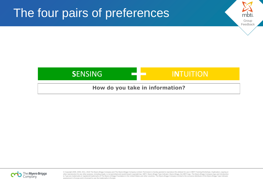# Group Feedback The four pairs of preferences **SENSING INTUITION**

#### **How do you take in information?**

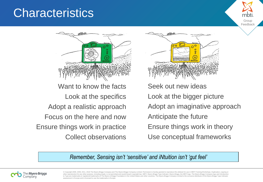#### **Characteristics**



Want to know the facts Look at the specifics Adopt a realistic approach Focus on the here and now Ensure things work in practice Collect observations



Seek out new ideas Look at the bigger picture Adopt an imaginative approach Anticipate the future Ensure things work in theory Use conceptual frameworks

Group Feedback

*Remember, Sensing isn't 'sensitive' and iNtuition isn't 'gut feel'*

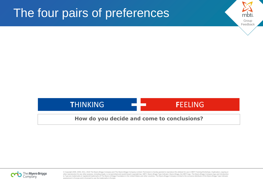



Group Feedback

#### **How do you decide and come to conclusions?**

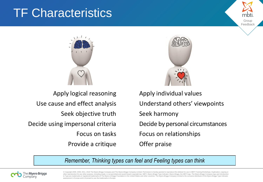### TF Characteristics



Apply logical reasoning Use cause and effect analysis Seek objective truth Decide using impersonal criteria Focus on tasks Provide a critique



Group Feedbacl

• Apply individual values Understand others' viewpoints • Seek harmony • Decide by personal circumstances • Focus on relationships • Offer praise

*Remember, Thinking types can feel and Feeling types can think*

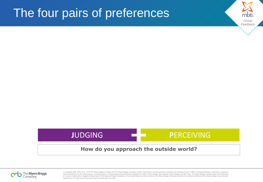



Group Feedback

#### **How do you approach the outside world?**

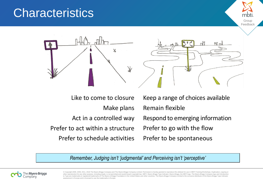#### **Characteristics**



Like to come to closure Make plans Act in a controlled way Prefer to act within a structure Prefer to schedule activities

Keep a range of choices available Remain flexible Respond to emerging information Prefer to go with the flow Prefer to be spontaneous

Group **Feedback** 

*Remember, Judging isn't 'judgmental' and Perceiving isn't 'perceptive'*